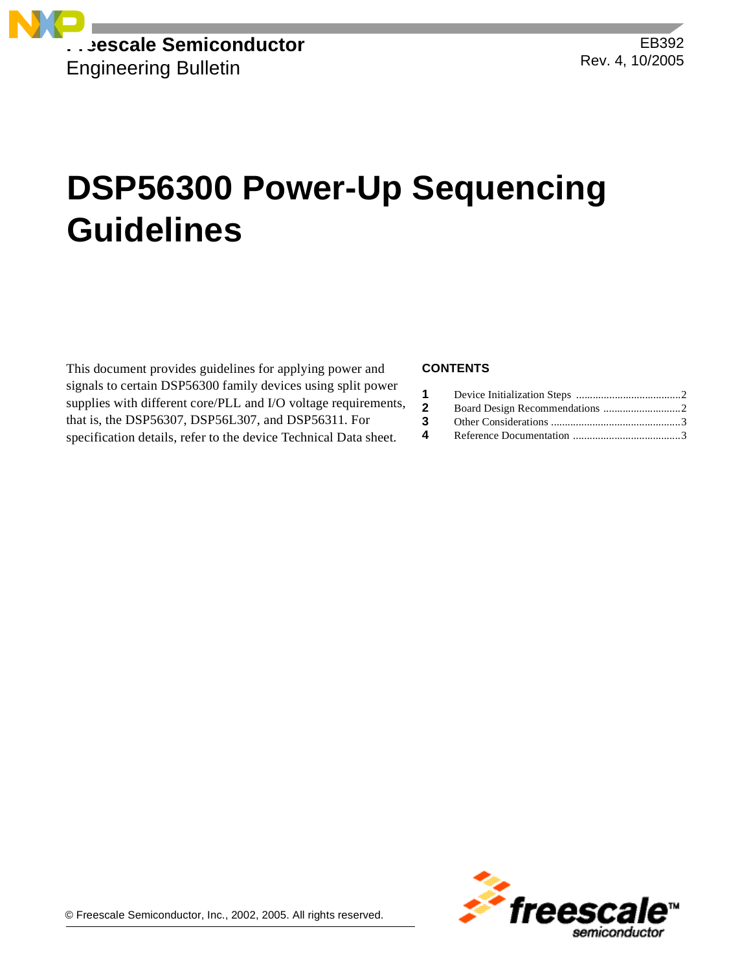

# **DSP56300 Power-Up Sequencing Guidelines**

This document provides guidelines for applying power and signals to certain DSP56300 family devices using split power supplies with different core/PLL and I/O voltage requirements, that is, the DSP56307, DSP56L307, and DSP56311. For specification details, refer to the device Technical Data sheet.

### **CONTENTS**

| $\mathbf{2}$ |  |
|--------------|--|
| 3            |  |
| 4            |  |

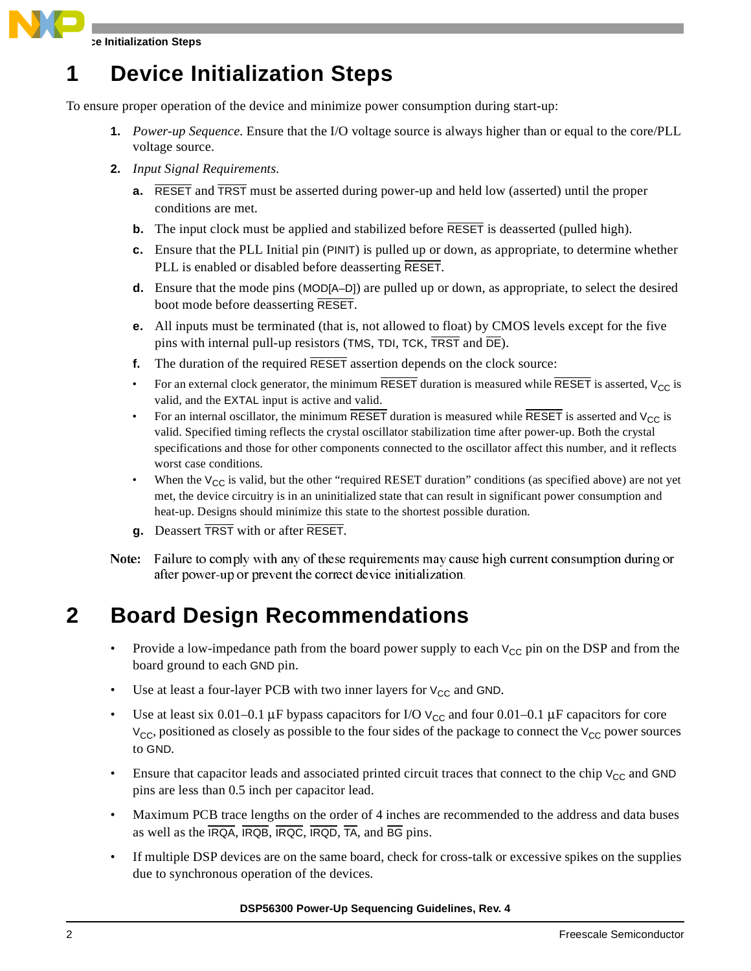**Device Initialization Steps**

### **1 Device Initialization Steps**

To ensure proper operation of the device and minimize power consumption during start-up:

- **1.** *Power-up Sequence.* Ensure that the I/O voltage source is always higher than or equal to the core/PLL voltage source.
- **2.** *Input Signal Requirements*.
	- **a.** RESET and TRST must be asserted during power-up and held low (asserted) until the proper conditions are met.
	- **b.** The input clock must be applied and stabilized before  $\overline{RESET}$  is deasserted (pulled high).
	- **c.** Ensure that the PLL Initial pin (PINIT) is pulled up or down, as appropriate, to determine whether PLL is enabled or disabled before deasserting RESET.
	- **d.** Ensure that the mode pins (MOD[A–D]) are pulled up or down, as appropriate, to select the desired boot mode before deasserting RESET.
	- **e.** All inputs must be terminated (that is, not allowed to float) by CMOS levels except for the five pins with internal pull-up resistors (TMS, TDI, TCK,  $\overline{T RST}$  and  $\overline{DE}$ ).
	- **f.** The duration of the required RESET assertion depends on the clock source:
	- For an external clock generator, the minimum RESET duration is measured while RESET is asserted,  $V_{CC}$  is valid, and the EXTAL input is active and valid.
	- For an internal oscillator, the minimum RESET duration is measured while RESET is asserted and  $V_{CC}$  is valid. Specified timing reflects the crystal oscillator stabilization time after power-up. Both the crystal specifications and those for other components connected to the oscillator affect this number, and it reflects worst case conditions.
	- When the  $V_{CC}$  is valid, but the other "required RESET duration" conditions (as specified above) are not yet met, the device circuitry is in an uninitialized state that can result in significant power consumption and heat-up. Designs should minimize this state to the shortest possible duration.
	- **g.** Deassert TRST with or after RESET.
- Note: Failure to comply with any of these requirements may cause high current consumption during or after power-up or prevent the correct device initialization.

## **2 Board Design Recommendations**

- Provide a low-impedance path from the board power supply to each  $V_{CC}$  pin on the DSP and from the board ground to each GND pin.
- Use at least a four-layer PCB with two inner layers for  $V_{CC}$  and GND.
- Use at least six 0.01–0.1  $\mu$ F bypass capacitors for I/O  $V_{CC}$  and four 0.01–0.1  $\mu$ F capacitors for core  $V_{\text{CC}}$ , positioned as closely as possible to the four sides of the package to connect the  $V_{\text{CC}}$  power sources to GND.
- Ensure that capacitor leads and associated printed circuit traces that connect to the chip  $V_{CC}$  and GND pins are less than 0.5 inch per capacitor lead.
- Maximum PCB trace lengths on the order of 4 inches are recommended to the address and data buses as well as the IRQA, IRQB, IRQC, IRQD, TA, and BG pins.
- If multiple DSP devices are on the same board, check for cross-talk or excessive spikes on the supplies due to synchronous operation of the devices.

**DSP56300 Power-Up Sequencing Guidelines, Rev. 4**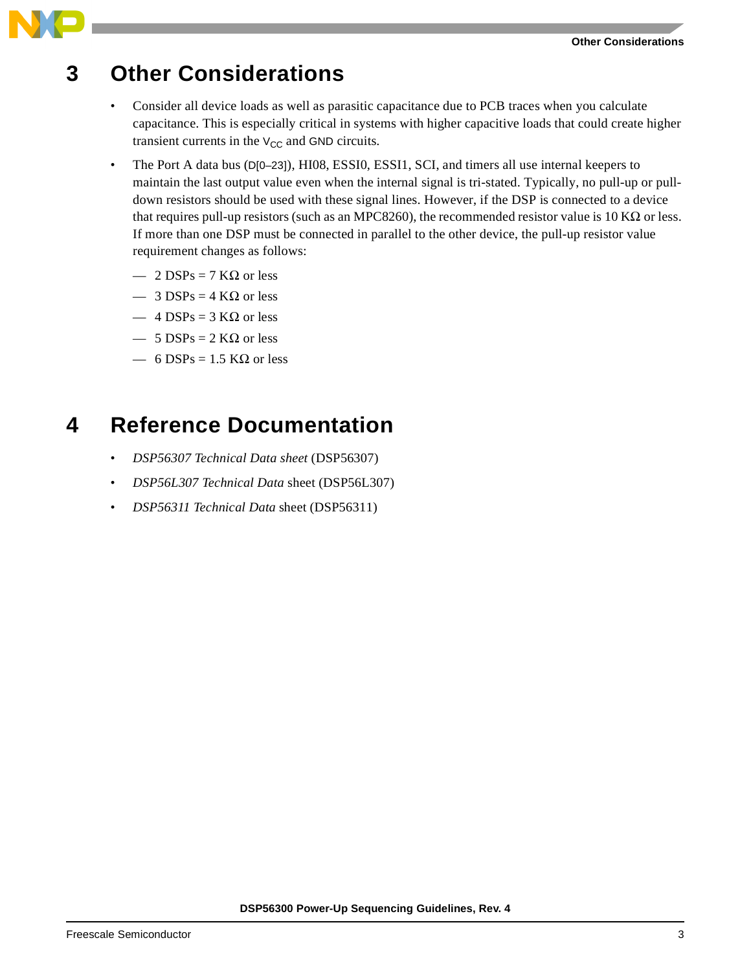### **Other Considerations**

### **3 Other Considerations**

- Consider all device loads as well as parasitic capacitance due to PCB traces when you calculate capacitance. This is especially critical in systems with higher capacitive loads that could create higher transient currents in the  $V_{CC}$  and GND circuits.
- The Port A data bus (D[0–23]), HI08, ESSI0, ESSI1, SCI, and timers all use internal keepers to maintain the last output value even when the internal signal is tri-stated. Typically, no pull-up or pulldown resistors should be used with these signal lines. However, if the DSP is connected to a device that requires pull-up resistors (such as an MPC8260), the recommended resistor value is 10 KΩ or less. If more than one DSP must be connected in parallel to the other device, the pull-up resistor value requirement changes as follows:
	- $-2$  DSPs = 7 KΩ or less
	- $-$  3 DSPs = 4 KΩ or less
	- $-4$  DSPs = 3 KΩ or less
	- $-5$  DSPs = 2 KΩ or less
	- 6 DSPs = 1.5 KΩ or less

### **4 Reference Documentation**

- *DSP56307 Technical Data sheet* (DSP56307)
- *DSP56L307 Technical Data* sheet (DSP56L307)
- *DSP56311 Technical Data* sheet (DSP56311)